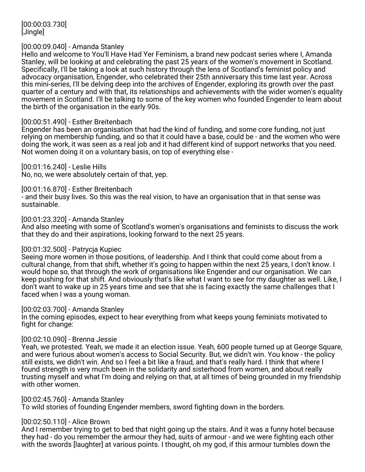[00:00:03.730] [Jingle]

### [00:00:09.040] - Amanda Stanley

Hello and welcome to You'll Have Had Yer Feminism, a brand new podcast series where I, Amanda Stanley, will be looking at and celebrating the past 25 years of the women's movement in Scotland. Specifically, I'll be taking a look at such history through the lens of Scotland's feminist policy and advocacy organisation, Engender, who celebrated their 25th anniversary this time last year. Across this mini-series, I'll be delving deep into the archives of Engender, exploring its growth over the past quarter of a century and with that, its relationships and achievements with the wider women's equality movement in Scotland. I'll be talking to some of the key women who founded Engender to learn about the birth of the organisation in the early 90s.

### [00:00:51.490] - Esther Breitenbach

Engender has been an organisation that had the kind of funding, and some core funding, not just relying on membership funding, and so that it could have a base, could be - and the women who were doing the work, it was seen as a real job and it had different kind of support networks that you need. Not women doing it on a voluntary basis, on top of everything else -

[00:01:16.240] - Leslie Hills No, no, we were absolutely certain of that, yep.

[00:01:16.870] - Esther Breitenbach

- and their busy lives. So this was the real vision, to have an organisation that in that sense was sustainable.

[00:01:23.320] - Amanda Stanley And also meeting with some of Scotland's women's organisations and feminists to discuss the work that they do and their aspirations, looking forward to the next 25 years.

### [00:01:32.500] - Patrycja Kupiec

Seeing more women in those positions, of leadership. And I think that could come about from a cultural change, from that shift, whether it's going to happen within the next 25 years, I don't know. I would hope so, that through the work of organisations like Engender and our organisation. We can keep pushing for that shift. And obviously that's like what I want to see for my daughter as well. Like, I don't want to wake up in 25 years time and see that she is facing exactly the same challenges that I faced when I was a young woman.

[00:02:03.700] - Amanda Stanley

In the coming episodes, expect to hear everything from what keeps young feminists motivated to fight for change:

# [00:02:10.090] - Brenna Jessie

Yeah, we protested. Yeah, we made it an election issue. Yeah, 600 people turned up at George Square, and were furious about women's access to Social Security. But, we didn't win. You know - the policy still exists, we didn't win. And so I feel a bit like a fraud, and that's really hard. I think that where I found strength is very much been in the solidarity and sisterhood from women, and about really trusting myself and what I'm doing and relying on that, at all times of being grounded in my friendship with other women.

[00:02:45.760] - Amanda Stanley

To wild stories of founding Engender members, sword fighting down in the borders.

# [00:02:50.110] - Alice Brown

And I remember trying to get to bed that night going up the stairs. And it was a funny hotel because they had - do you remember the armour they had, suits of armour - and we were fighting each other with the swords [laughter] at various points. I thought, oh my god, if this armour tumbles down the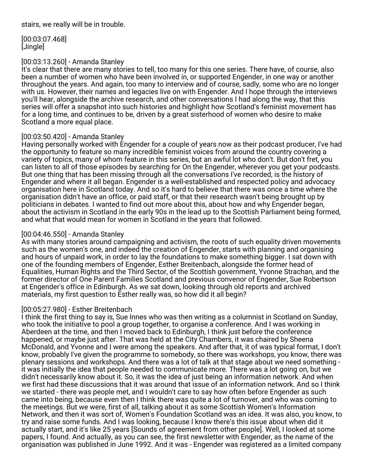[00:03:07.468] [Jingle]

# [00:03:13.260] - Amanda Stanley

It's clear that there are many stories to tell, too many for this one series. There have, of course, also been a number of women who have been involved in, or supported Engender, in one way or another throughout the years. And again, too many to interview and of course, sadly, some who are no longer with us. However, their names and legacies live on with Engender. And I hope through the interviews you'll hear, alongside the archive research, and other conversations I had along the way, that this series will offer a snapshot into such histories and highlight how Scotland's feminist movement has for a long time, and continues to be, driven by a great sisterhood of women who desire to make Scotland a more equal place.

# [00:03:50.420] - Amanda Stanley

Having personally worked with Engender for a couple of years now as their podcast producer, I've had the opportunity to feature so many incredible feminist voices from around the country covering a variety of topics, many of whom feature in this series, but an awful lot who don't. But don't fret, you can listen to all of those episodes by searching for On the Engender, wherever you get your podcasts. But one thing that has been missing through all the conversations I've recorded, is the history of Engender and where it all began. Engender is a well-established and respected policy and advocacy organisation here in Scotland today. And so it's hard to believe that there was once a time where the organisation didn't have an office, or paid staff, or that their research wasn't being brought up by politicians in debates. I wanted to find out more about this, about how and why Engender began, about the activism in Scotland in the early 90s in the lead up to the Scottish Parliament being formed, and what that would mean for women in Scotland in the years that followed.

# [00:04:46.550] - Amanda Stanley

As with many stories around campaigning and activism, the roots of such equality driven movements such as the women's one, and indeed the creation of Engender, starts with planning and organising and hours of unpaid work, in order to lay the foundations to make something bigger. I sat down with one of the founding members of Engender, Esther Breitenbach, alongside the former head of Equalities, Human Rights and the Third Sector, of the Scottish government, Yvonne Strachan, and the former director of One Parent Families Scotland and previous convenor of Engender, Sue Robertson at Engender's office in Edinburgh. As we sat down, looking through old reports and archived materials, my first question to Esther really was, so how did it all begin?

# [00:05:27.980] - Esther Breitenbach

I think the first thing to say is, Sue Innes who was then writing as a columnist in Scotland on Sunday, who took the initiative to pool a group together, to organise a conference. And I was working in Aberdeen at the time, and then I moved back to Edinburgh, I think just before the conference happened, or maybe just after. That was held at the City Chambers, it was chaired by Sheena McDonald, and Yvonne and I were among the speakers. And after that, it of was typical format, I don't know, probably I've given the programme to somebody, so there was workshops, you know, there was plenary sessions and workshops. And there was a lot of talk at that stage about we need something it was initially the idea that people needed to communicate more. There was a lot going on, but we didn't necessarily know about it. So, it was the idea of just being an information network. And when we first had these discussions that it was around that issue of an information network. And so I think we started - there was people met, and I wouldn't care to say how often before Engender as such came into being, because even then I think there was quite a lot of turnover, and who was coming to the meetings. But we were, first of all, talking about it as some Scottish Women's Information Network, and then it was sort of, Women's Foundation Scotland was an idea. It was also, you know, to try and raise some funds. And I was looking, because I know there's this issue about when did it actually start, and it's like 25 years [Sounds of agreement from other people]. Well, I looked at some papers, I found. And actually, as you can see, the first newsletter with Engender, as the name of the organisation was published in June 1992. And it was - Engender was registered as a limited company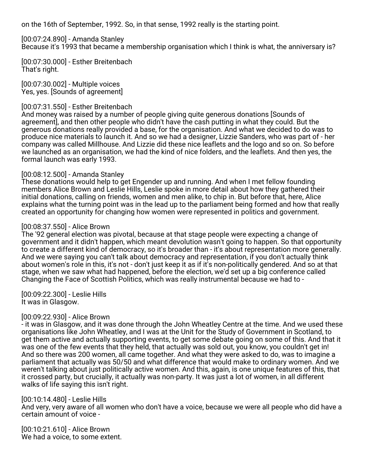on the 16th of September, 1992. So, in that sense, 1992 really is the starting point.

[00:07:24.890] - Amanda Stanley Because it's 1993 that became a membership organisation which I think is what, the anniversary is?

[00:07:30.000] - Esther Breitenbach That's right.

[00:07:30.002] - Multiple voices Yes, yes. [Sounds of agreement]

## [00:07:31.550] - Esther Breitenbach

And money was raised by a number of people giving quite generous donations [Sounds of agreement], and then other people who didn't have the cash putting in what they could. But the generous donations really provided a base, for the organisation. And what we decided to do was to produce nice materials to launch it. And so we had a designer, Lizzie Sanders, who was part of - her company was called Millhouse. And Lizzie did these nice leaflets and the logo and so on. So before we launched as an organisation, we had the kind of nice folders, and the leaflets. And then yes, the formal launch was early 1993.

# [00:08:12.500] - Amanda Stanley

These donations would help to get Engender up and running. And when I met fellow founding members Alice Brown and Leslie Hills, Leslie spoke in more detail about how they gathered their initial donations, calling on friends, women and men alike, to chip in. But before that, here, Alice explains what the turning point was in the lead up to the parliament being formed and how that really created an opportunity for changing how women were represented in politics and government.

## [00:08:37.550] - Alice Brown

The '92 general election was pivotal, because at that stage people were expecting a change of government and it didn't happen, which meant devolution wasn't going to happen. So that opportunity to create a different kind of democracy, so it's broader than - it's about representation more generally. And we were saying you can't talk about democracy and representation, if you don't actually think about women's role in this, it's not - don't just keep it as if it's non-politically gendered. And so at that stage, when we saw what had happened, before the election, we'd set up a big conference called Changing the Face of Scottish Politics, which was really instrumental because we had to -

[00:09:22.300] - Leslie Hills It was in Glasgow.

### [00:09:22.930] - Alice Brown

- it was in Glasgow, and it was done through the John Wheatley Centre at the time. And we used these organisations like John Wheatley, and I was at the Unit for the Study of Government in Scotland, to get them active and actually supporting events, to get some debate going on some of this. And that it was one of the few events that they held, that actually was sold out, you know, you couldn't get in! And so there was 200 women, all came together. And what they were asked to do, was to imagine a parliament that actually was 50/50 and what difference that would make to ordinary women. And we weren't talking about just politically active women. And this, again, is one unique features of this, that it crossed party, but crucially, it actually was non-party. It was just a lot of women, in all different walks of life saying this isn't right.

[00:10:14.480] - Leslie Hills

And very, very aware of all women who don't have a voice, because we were all people who did have a certain amount of voice -

[00:10:21.610] - Alice Brown We had a voice, to some extent.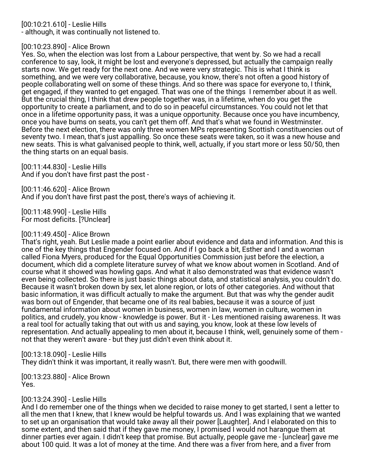[00:10:21.610] - Leslie Hills

- although, it was continually not listened to.

# [00:10:23.890] - Alice Brown

Yes. So, when the election was lost from a Labour perspective, that went by. So we had a recall conference to say, look, it might be lost and everyone's depressed, but actually the campaign really starts now. We get ready for the next one. And we were very strategic. This is what I think is something, and we were very collaborative, because, you know, there's not often a good history of people collaborating well on some of these things. And so there was space for everyone to, I think, get engaged, if they wanted to get engaged. That was one of the things I remember about it as well. But the crucial thing, I think that drew people together was, in a lifetime, when do you get the opportunity to create a parliament, and to do so in peaceful circumstances. You could not let that once in a lifetime opportunity pass, it was a unique opportunity. Because once you have incumbency, once you have bums on seats, you can't get them off. And that's what we found in Westminster. Before the next election, there was only three women MPs representing Scottish constituencies out of seventy two. I mean, that's just appalling. So once these seats were taken, so it was a new house and new seats. This is what galvanised people to think, well, actually, if you start more or less 50/50, then the thing starts on an equal basis.

[00:11:44.830] - Leslie Hills And if you don't have first past the post -

[00:11:46.620] - Alice Brown And if you don't have first past the post, there's ways of achieving it.

[00:11:48.990] - Leslie Hills For most deficits. [?Unclear]

## [00:11:49.450] - Alice Brown

That's right, yeah. But Leslie made a point earlier about evidence and data and information. And this is one of the key things that Engender focused on. And if I go back a bit, Esther and I and a woman called Fiona Myers, produced for the Equal Opportunities Commission just before the election, a document, which did a complete literature survey of what we know about women in Scotland. And of course what it showed was howling gaps. And what it also demonstrated was that evidence wasn't even being collected. So there is just basic things about data, and statistical analysis, you couldn't do. Because it wasn't broken down by sex, let alone region, or lots of other categories. And without that basic information, it was difficult actually to make the argument. But that was why the gender audit was born out of Engender, that became one of its real babies, because it was a source of just fundamental information about women in business, women in law, women in culture, women in politics, and crudely, you know - knowledge is power. But it - Les mentioned raising awareness. It was a real tool for actually taking that out with us and saying, you know, look at these low levels of representation. And actually appealing to men about it, because I think, well, genuinely some of them not that they weren't aware - but they just didn't even think about it.

[00:13:18.090] - Leslie Hills

They didn't think it was important, it really wasn't. But, there were men with goodwill.

[00:13:23.880] - Alice Brown Yes.

# [00:13:24.390] - Leslie Hills

And I do remember one of the things when we decided to raise money to get started, I sent a letter to all the men that I knew, that I knew would be helpful towards us. And I was explaining that we wanted to set up an organisation that would take away all their power [Laughter]. And I elaborated on this to some extent, and then said that if they gave me money, I promised I would not harangue them at dinner parties ever again. I didn't keep that promise. But actually, people gave me - [unclear] gave me about 100 quid. It was a lot of money at the time. And there was a fiver from here, and a fiver from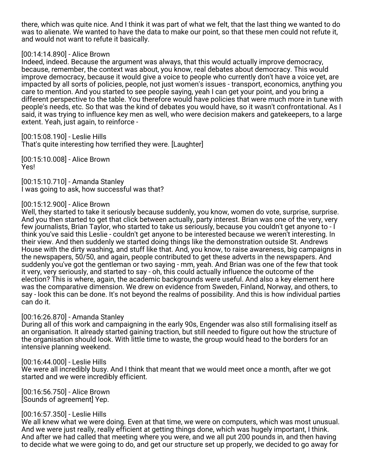there, which was quite nice. And I think it was part of what we felt, that the last thing we wanted to do was to alienate. We wanted to have the data to make our point, so that these men could not refute it, and would not want to refute it basically.

### [00:14:14.890] - Alice Brown

Indeed, indeed. Because the argument was always, that this would actually improve democracy, because, remember, the context was about, you know, real debates about democracy. This would improve democracy, because it would give a voice to people who currently don't have a voice yet, are impacted by all sorts of policies, people, not just women's issues - transport, economics, anything you care to mention. And you started to see people saying, yeah I can get your point, and you bring a different perspective to the table. You therefore would have policies that were much more in tune with people's needs, etc. So that was the kind of debates you would have, so it wasn't confrontational. As I said, it was trying to influence key men as well, who were decision makers and gatekeepers, to a large extent. Yeah, just again, to reinforce -

[00:15:08.190] - Leslie Hills That's quite interesting how terrified they were. [Laughter]

[00:15:10.008] - Alice Brown Yes!

[00:15:10.710] - Amanda Stanley I was going to ask, how successful was that?

### [00:15:12.900] - Alice Brown

Well, they started to take it seriously because suddenly, you know, women do vote, surprise, surprise. And you then started to get that click between actually, party interest. Brian was one of the very, very few journalists, Brian Taylor, who started to take us seriously, because you couldn't get anyone to - I think you've said this Leslie - couldn't get anyone to be interested because we weren't interesting. In their view. And then suddenly we started doing things like the demonstration outside St. Andrews House with the dirty washing, and stuff like that. And, you know, to raise awareness, big campaigns in the newspapers, 50/50, and again, people contributed to get these adverts in the newspapers. And suddenly you've got the gentleman or two saying - mm, yeah. And Brian was one of the few that took it very, very seriously, and started to say - oh, this could actually influence the outcome of the election? This is where, again, the academic backgrounds were useful. And also a key element here was the comparative dimension. We drew on evidence from Sweden, Finland, Norway, and others, to say - look this can be done. It's not beyond the realms of possibility. And this is how individual parties can do it.

### [00:16:26.870] - Amanda Stanley

During all of this work and campaigning in the early 90s, Engender was also still formalising itself as an organisation. It already started gaining traction, but still needed to figure out how the structure of the organisation should look. With little time to waste, the group would head to the borders for an intensive planning weekend.

### [00:16:44.000] - Leslie Hills

We were all incredibly busy. And I think that meant that we would meet once a month, after we got started and we were incredibly efficient.

[00:16:56.750] - Alice Brown [Sounds of agreement] Yep.

# [00:16:57.350] - Leslie Hills

We all knew what we were doing. Even at that time, we were on computers, which was most unusual. And we were just really, really efficient at getting things done, which was hugely important, I think. And after we had called that meeting where you were, and we all put 200 pounds in, and then having to decide what we were going to do, and get our structure set up properly, we decided to go away for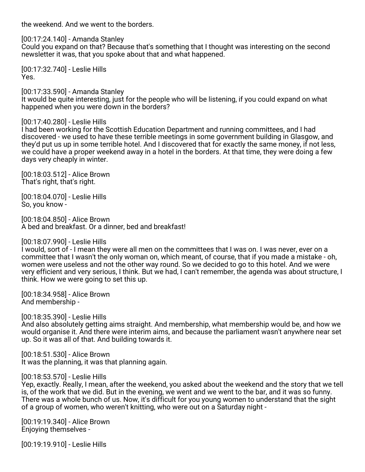the weekend. And we went to the borders.

[00:17:24.140] - Amanda Stanley

Could you expand on that? Because that's something that I thought was interesting on the second newsletter it was, that you spoke about that and what happened.

[00:17:32.740] - Leslie Hills Yes.

[00:17:33.590] - Amanda Stanley It would be quite interesting, just for the people who will be listening, if you could expand on what happened when you were down in the borders?

## [00:17:40.280] - Leslie Hills

I had been working for the Scottish Education Department and running committees, and I had discovered - we used to have these terrible meetings in some government building in Glasgow, and they'd put us up in some terrible hotel. And I discovered that for exactly the same money, if not less, we could have a proper weekend away in a hotel in the borders. At that time, they were doing a few days very cheaply in winter.

[00:18:03.512] - Alice Brown That's right, that's right.

[00:18:04.070] - Leslie Hills So, you know -

[00:18:04.850] - Alice Brown A bed and breakfast. Or a dinner, bed and breakfast!

# [00:18:07.990] - Leslie Hills

I would, sort of - I mean they were all men on the committees that I was on. I was never, ever on a committee that I wasn't the only woman on, which meant, of course, that if you made a mistake - oh, women were useless and not the other way round. So we decided to go to this hotel. And we were very efficient and very serious, I think. But we had, I can't remember, the agenda was about structure, I think. How we were going to set this up.

[00:18:34.958] - Alice Brown And membership -

[00:18:35.390] - Leslie Hills And also absolutely getting aims straight. And membership, what membership would be, and how we would organise it. And there were interim aims, and because the parliament wasn't anywhere near set up. So it was all of that. And building towards it.

[00:18:51.530] - Alice Brown It was the planning, it was that planning again.

### [00:18:53.570] - Leslie Hills

Yep, exactly. Really, I mean, after the weekend, you asked about the weekend and the story that we tell is, of the work that we did. But in the evening, we went and we went to the bar, and it was so funny. There was a whole bunch of us. Now, it's difficult for you young women to understand that the sight of a group of women, who weren't knitting, who were out on a Saturday night -

[00:19:19.340] - Alice Brown Enjoying themselves -

[00:19:19.910] - Leslie Hills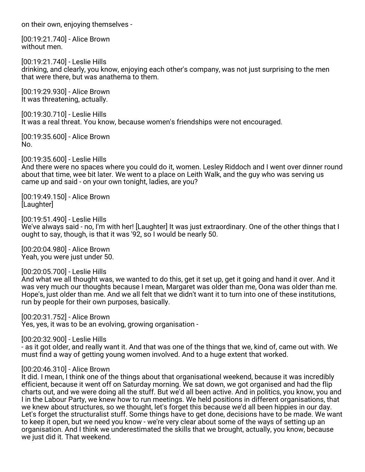on their own, enjoying themselves -

[00:19:21.740] - Alice Brown without men.

[00:19:21.740] - Leslie Hills drinking, and clearly, you know, enjoying each other's company, was not just surprising to the men that were there, but was anathema to them.

[00:19:29.930] - Alice Brown It was threatening, actually.

[00:19:30.710] - Leslie Hills It was a real threat. You know, because women's friendships were not encouraged.

[00:19:35.600] - Alice Brown No.

[00:19:35.600] - Leslie Hills And there were no spaces where you could do it, women. Lesley Riddoch and I went over dinner round about that time, wee bit later. We went to a place on Leith Walk, and the guy who was serving us came up and said - on your own tonight, ladies, are you?

[00:19:49.150] - Alice Brown [Laughter]

[00:19:51.490] - Leslie Hills We've always said - no, I'm with her! [Laughter] It was just extraordinary. One of the other things that I ought to say, though, is that it was '92, so I would be nearly 50.

[00:20:04.980] - Alice Brown Yeah, you were just under 50.

[00:20:05.700] - Leslie Hills And what we all thought was, we wanted to do this, get it set up, get it going and hand it over. And it was very much our thoughts because I mean, Margaret was older than me, Oona was older than me. Hope's, just older than me. And we all felt that we didn't want it to turn into one of these institutions, run by people for their own purposes, basically.

[00:20:31.752] - Alice Brown Yes, yes, it was to be an evolving, growing organisation -

[00:20:32.900] - Leslie Hills

- as it got older, and really want it. And that was one of the things that we, kind of, came out with. We must find a way of getting young women involved. And to a huge extent that worked.

### [00:20:46.310] - Alice Brown

It did. I mean, I think one of the things about that organisational weekend, because it was incredibly efficient, because it went off on Saturday morning. We sat down, we got organised and had the flip charts out, and we were doing all the stuff. But we'd all been active. And in politics, you know, you and I in the Labour Party, we knew how to run meetings. We held positions in different organisations, that we knew about structures, so we thought, let's forget this because we'd all been hippies in our day. Let's forget the structuralist stuff. Some things have to get done, decisions have to be made. We want to keep it open, but we need you know - we're very clear about some of the ways of setting up an organisation. And I think we underestimated the skills that we brought, actually, you know, because we just did it. That weekend.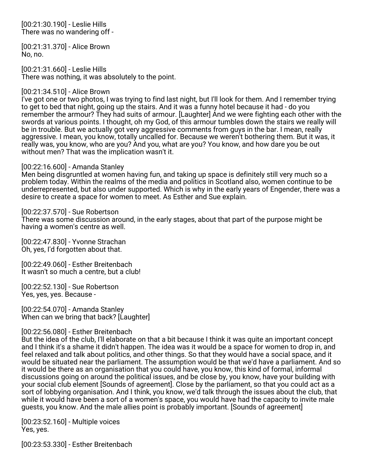[00:21:30.190] - Leslie Hills There was no wandering off -

[00:21:31.370] - Alice Brown No, no.

[00:21:31.660] - Leslie Hills There was nothing, it was absolutely to the point.

## [00:21:34.510] - Alice Brown

I've got one or two photos, I was trying to find last night, but I'll look for them. And I remember trying to get to bed that night, going up the stairs. And it was a funny hotel because it had - do you remember the armour? They had suits of armour. [Laughter] And we were fighting each other with the swords at various points. I thought, oh my God, of this armour tumbles down the stairs we really will be in trouble. But we actually got very aggressive comments from guys in the bar. I mean, really aggressive. I mean, you know, totally uncalled for. Because we weren't bothering them. But it was, it really was, you know, who are you? And you, what are you? You know, and how dare you be out without men? That was the implication wasn't it.

## [00:22:16.600] - Amanda Stanley

Men being disgruntled at women having fun, and taking up space is definitely still very much so a problem today. Within the realms of the media and politics in Scotland also, women continue to be underrepresented, but also under supported. Which is why in the early years of Engender, there was a desire to create a space for women to meet. As Esther and Sue explain.

### [00:22:37.570] - Sue Robertson

There was some discussion around, in the early stages, about that part of the purpose might be having a women's centre as well.

[00:22:47.830] - Yvonne Strachan Oh, yes, I'd forgotten about that.

[00:22:49.060] - Esther Breitenbach It wasn't so much a centre, but a club!

[00:22:52.130] - Sue Robertson Yes, yes, yes. Because -

[00:22:54.070] - Amanda Stanley When can we bring that back? [Laughter]

### [00:22:56.080] - Esther Breitenbach

But the idea of the club, I'll elaborate on that a bit because I think it was quite an important concept and I think it's a shame it didn't happen. The idea was it would be a space for women to drop in, and feel relaxed and talk about politics, and other things. So that they would have a social space, and it would be situated near the parliament. The assumption would be that we'd have a parliament. And so it would be there as an organisation that you could have, you know, this kind of formal, informal discussions going on around the political issues, and be close by, you know, have your building with your social club element [Sounds of agreement]. Close by the parliament, so that you could act as a sort of lobbying organisation. And I think, you know, we'd talk through the issues about the club, that while it would have been a sort of a women's space, you would have had the capacity to invite male guests, you know. And the male allies point is probably important. [Sounds of agreement]

[00:23:52.160] - Multiple voices Yes, yes.

[00:23:53.330] - Esther Breitenbach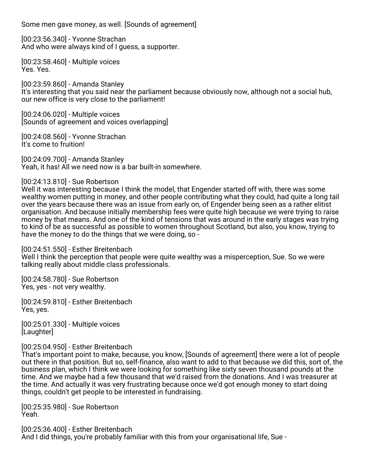Some men gave money, as well. [Sounds of agreement]

[00:23:56.340] - Yvonne Strachan And who were always kind of I guess, a supporter.

[00:23:58.460] - Multiple voices Yes. Yes.

[00:23:59.860] - Amanda Stanley It's interesting that you said near the parliament because obviously now, although not a social hub, our new office is very close to the parliament!

[00:24:06.020] - Multiple voices [Sounds of agreement and voices overlapping]

[00:24:08.560] - Yvonne Strachan It's come to fruition!

[00:24:09.700] - Amanda Stanley Yeah, it has! All we need now is a bar built-in somewhere.

[00:24:13.810] - Sue Robertson

Well it was interesting because I think the model, that Engender started off with, there was some wealthy women putting in money, and other people contributing what they could, had quite a long tail over the years because there was an issue from early on, of Engender being seen as a rather elitist organisation. And because initially membership fees were quite high because we were trying to raise money by that means. And one of the kind of tensions that was around in the early stages was trying to kind of be as successful as possible to women throughout Scotland, but also, you know, trying to have the money to do the things that we were doing, so -

[00:24:51.550] - Esther Breitenbach

Well I think the perception that people were quite wealthy was a misperception, Sue. So we were talking really about middle class professionals.

[00:24:58.780] - Sue Robertson Yes, yes - not very wealthy.

[00:24:59.810] - Esther Breitenbach Yes, yes.

[00:25:01.330] - Multiple voices [Laughter]

[00:25:04.950] - Esther Breitenbach

That's important point to make, because, you know, [Sounds of agreement] there were a lot of people out there in that position. But so, self-finance, also want to add to that because we did this, sort of, the business plan, which I think we were looking for something like sixty seven thousand pounds at the time. And we maybe had a few thousand that we'd raised from the donations. And I was treasurer at the time. And actually it was very frustrating because once we'd got enough money to start doing things, couldn't get people to be interested in fundraising.

[00:25:35.980] - Sue Robertson Yeah.

[00:25:36.400] - Esther Breitenbach And I did things, you're probably familiar with this from your organisational life, Sue -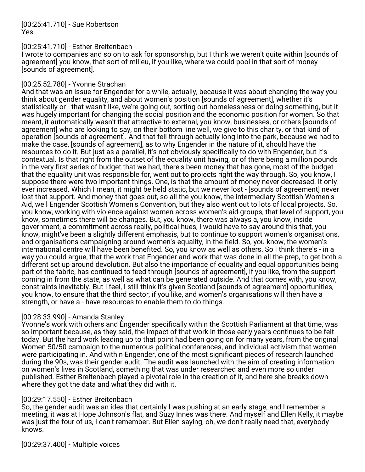[00:25:41.710] - Sue Robertson Yes.

## [00:25:41.710] - Esther Breitenbach

I wrote to companies and so on to ask for sponsorship, but I think we weren't quite within [sounds of agreement] you know, that sort of milieu, if you like, where we could pool in that sort of money [sounds of agreement].

## [00:25:52.780] - Yvonne Strachan

And that was an issue for Engender for a while, actually, because it was about changing the way you think about gender equality, and about women's position [sounds of agreement], whether it's statistically or - that wasn't like, we're going out, sorting out homelessness or doing something, but it was hugely important for changing the social position and the economic position for women. So that meant, it automatically wasn't that attractive to external, you know, businesses, or others [sounds of agreement] who are looking to say, on their bottom line well, we give to this charity, or that kind of operation [sounds of agreement]. And that fell through actually long into the park, because we had to make the case, [sounds of agreement], as to why Engender in the nature of it, should have the resources to do it. But just as a parallel, it's not obviously specifically to do with Engender, but it's contextual. Is that right from the outset of the equality unit having, or of there being a million pounds in the very first series of budget that we had, there's been money that has gone, most of the budget that the equality unit was responsible for, went out to projects right the way through. So, you know, I suppose there were two important things. One, is that the amount of money never decreased. It only ever increased. Which I mean, it might be held static, but we never lost - [sounds of agreement] never lost that support. And money that goes out, so all the you know, the intermediary Scottish Women's Aid, well Engender Scottish Women's Convention, but they also went out to lots of local projects. So, you know, working with violence against women across women's aid groups, that level of support, you know, sometimes there will be changes. But, you know, there was always a, you know, inside government, a commitment across really, political hues, I would have to say around this that, you know, might've been a slightly different emphasis, but to continue to support women's organisations, and organisations campaigning around women's equality, in the field. So, you know, the women's international centre will have been benefited. So, you know as well as others. So I think there's - in a way you could argue, that the work that Engender and work that was done in all the prep, to get both a different set up around devolution. But also the importance of equality and equal opportunities being part of the fabric, has continued to feed through [sounds of agreement], if you like, from the support coming in from the state, as well as what can be generated outside. And that comes with, you know, constraints inevitably. But I feel, I still think it's given Scotland [sounds of agreement] opportunities, you know, to ensure that the third sector, if you like, and women's organisations will then have a strength, or have a - have resources to enable them to do things.

# [00:28:33.990] - Amanda Stanley

Yvonne's work with others and Engender specifically within the Scottish Parliament at that time, was so important because, as they said, the impact of that work in those early years continues to be felt today. But the hard work leading up to that point had been going on for many years, from the original Women 50/50 campaign to the numerous political conferences, and individual activism that women were participating in. And within Engender, one of the most significant pieces of research launched during the 90s, was their gender audit. The audit was launched with the aim of creating information on women's lives in Scotland, something that was under researched and even more so under published. Esther Breitenbach played a pivotal role in the creation of it, and here she breaks down where they got the data and what they did with it.

# [00:29:17.550] - Esther Breitenbach

So, the gender audit was an idea that certainly I was pushing at an early stage, and I remember a meeting, it was at Hope Johnson's flat, and Suzy Innes was there. And myself and Ellen Kelly, it maybe was just the four of us, I can't remember. But Ellen saying, oh, we don't really need that, everybody knows.

[00:29:37.400] - Multiple voices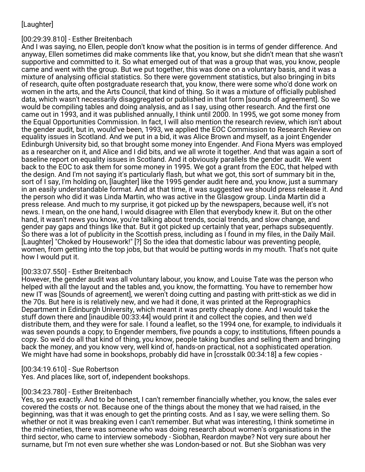# [Laughter]

# [00:29:39.810] - Esther Breitenbach

And I was saying, no Ellen, people don't know what the position is in terms of gender difference. And anyway, Ellen sometimes did make comments like that, you know, but she didn't mean that she wasn't supportive and committed to it. So what emerged out of that was a group that was, you know, people came and went with the group. But we put together, this was done on a voluntary basis, and it was a mixture of analysing official statistics. So there were government statistics, but also bringing in bits of research, quite often postgraduate research that, you know, there were some who'd done work on women in the arts, and the Arts Council, that kind of thing. So it was a mixture of officially published data, which wasn't necessarily disaggregated or published in that form [sounds of agreement]. So we would be compiling tables and doing analysis, and as I say, using other research. And the first one came out in 1993, and it was published annually, I think until 2000. In 1995, we got some money from the Equal Opportunities Commission. In fact, I will also mention the research review, which isn't about the gender audit, but in, would've been, 1993, we applied the EOC Commission to Research Review on equality issues in Scotland. And we put in a bid, it was Alice Brown and myself, as a joint Engender Edinburgh University bid, so that brought some money into Engender. And Fiona Myers was employed as a researcher on it, and Alice and I did bits, and we all wrote it together. And that was again a sort of baseline report on equality issues in Scotland. And it obviously parallels the gender audit. We went back to the EOC to ask them for some money in 1995. We got a grant from the EOC, that helped with the design. And I'm not saying it's particularly flash, but what we got, this sort of summary bit in the, sort of I say, I'm holding on, [laughter] like the 1995 gender audit here and, you know, just a summary in an easily understandable format. And at that time, it was suggested we should press release it. And the person who did it was Linda Martin, who was active in the Glasgow group. Linda Martin did a press release. And much to my surprise, it got picked up by the newspapers, because well, it's not news. I mean, on the one hand, I would disagree with Ellen that everybody knew it. But on the other hand, it wasn't news you know, you're talking about trends, social trends, and slow change, and gender pay gaps and things like that. But it got picked up certainly that year, perhaps subsequently. So there was a lot of publicity in the Scottish press, including as I found in my files, in the Daily Mail. [Laughter] "Choked by Housework!" [?] So the idea that domestic labour was preventing people, women, from getting into the top jobs, but that would be putting words in my mouth. That's not quite how I would put it.

# [00:33:07.550] - Esther Breitenbach

However, the gender audit was all voluntary labour, you know, and Louise Tate was the person who helped with all the layout and the tables and, you know, the formatting. You have to remember how new IT was [Sounds of agreement], we weren't doing cutting and pasting with pritt-stick as we did in the 70s. But here is is relatively new, and we had it done, it was printed at the Reprographics Department in Edinburgh University, which meant it was pretty cheaply done. And I would take the stuff down there and [inaudible 00:33:44] would print it and collect the copies, and then we'd distribute them, and they were for sale. I found a leaflet, so the 1994 one, for example, to individuals it was seven pounds a copy; to Engender members, five pounds a copy; to institutions, fifteen pounds a copy. So we'd do all that kind of thing, you know, people taking bundles and selling them and bringing back the money, and you know very, well kind of, hands-on practical, not a sophisticated operation. We might have had some in bookshops, probably did have in [crosstalk 00:34:18] a few copies -

# [00:34:19.610] - Sue Robertson

Yes. And places like, sort of, independent bookshops.

### [00:34:23.780] - Esther Breitenbach

Yes, so yes exactly. And to be honest, I can't remember financially whether, you know, the sales ever covered the costs or not. Because one of the things about the money that we had raised, in the beginning, was that it was enough to get the printing costs. And as I say, we were selling them. So whether or not it was breaking even I can't remember. But what was interesting, I think sometime in the mid-nineties, there was someone who was doing research about women's organisations in the third sector, who came to interview somebody - Siobhan, Reardon maybe? Not very sure about her surname, but I'm not even sure whether she was London-based or not. But she Siobhan was very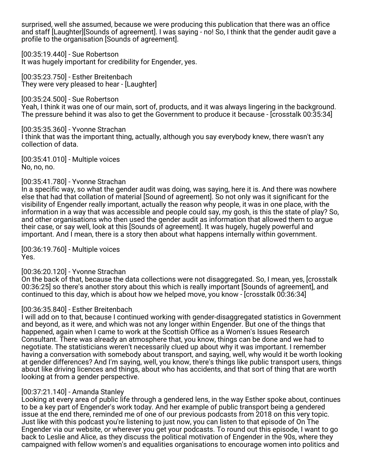surprised, well she assumed, because we were producing this publication that there was an office and staff [Laughter][Sounds of agreement]. I was saying - no! So, I think that the gender audit gave a profile to the organisation [Sounds of agreement].

[00:35:19.440] - Sue Robertson

It was hugely important for credibility for Engender, yes.

[00:35:23.750] - Esther Breitenbach They were very pleased to hear - [Laughter]

[00:35:24.500] - Sue Robertson Yeah, I think it was one of our main, sort of, products, and it was always lingering in the background. The pressure behind it was also to get the Government to produce it because - [crosstalk 00:35:34]

[00:35:35.360] - Yvonne Strachan I think that was the important thing, actually, although you say everybody knew, there wasn't any collection of data.

[00:35:41.010] - Multiple voices No, no, no.

# [00:35:41.780] - Yvonne Strachan

In a specific way, so what the gender audit was doing, was saying, here it is. And there was nowhere else that had that collation of material [Sound of agreement]. So not only was it significant for the visibility of Engender really important, actually the reason why people, it was in one place, with the information in a way that was accessible and people could say, my gosh, is this the state of play? So, and other organisations who then used the gender audit as information that allowed them to argue their case, or say well, look at this [Sounds of agreement]. It was hugely, hugely powerful and important. And I mean, there is a story then about what happens internally within government.

[00:36:19.760] - Multiple voices Yes.

# [00:36:20.120] - Yvonne Strachan

On the back of that, because the data collections were not disaggregated. So, I mean, yes, [crosstalk 00:36:25] so there's another story about this which is really important [Sounds of agreement], and continued to this day, which is about how we helped move, you know - [crosstalk 00:36:34]

# [00:36:35.840] - Esther Breitenbach

I will add on to that, because I continued working with gender-disaggregated statistics in Government and beyond, as it were, and which was not any longer within Engender. But one of the things that happened, again when I came to work at the Scottish Office as a Women's Issues Research Consultant. There was already an atmosphere that, you know, things can be done and we had to negotiate. The statisticians weren't necessarily clued up about why it was important. I remember having a conversation with somebody about transport, and saying, well, why would it be worth looking at gender differences? And I'm saying, well, you know, there's things like public transport users, things about like driving licences and things, about who has accidents, and that sort of thing that are worth looking at from a gender perspective.

# [00:37:21.140] - Amanda Stanley

Looking at every area of public life through a gendered lens, in the way Esther spoke about, continues to be a key part of Engender's work today. And her example of public transport being a gendered issue at the end there, reminded me of one of our previous podcasts from 2018 on this very topic. Just like with this podcast you're listening to just now, you can listen to that episode of On The Engender via our website, or wherever you get your podcasts. To round out this episode, I want to go back to Leslie and Alice, as they discuss the political motivation of Engender in the 90s, where they campaigned with fellow women's and equalities organisations to encourage women into politics and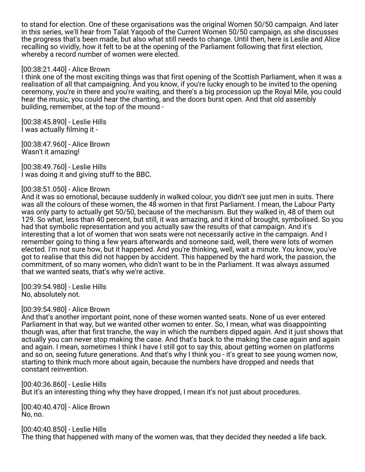to stand for election. One of these organisations was the original Women 50/50 campaign. And later in this series, we'll hear from Talat Yaqoob of the Current Women 50/50 campaign, as she discusses the progress that's been made, but also what still needs to change. Until then, here is Leslie and Alice recalling so vividly, how it felt to be at the opening of the Parliament following that first election, whereby a record number of women were elected.

## [00:38:21.440] - Alice Brown

I think one of the most exciting things was that first opening of the Scottish Parliament, when it was a realisation of all that campaigning. And you know, if you're lucky enough to be invited to the opening ceremony, you're in there and you're waiting, and there's a big procession up the Royal Mile, you could hear the music, you could hear the chanting, and the doors burst open. And that old assembly building, remember, at the top of the mound -

[00:38:45.890] - Leslie Hills I was actually filming it -

[00:38:47.960] - Alice Brown Wasn't it amazing!

[00:38:49.760] - Leslie Hills I was doing it and giving stuff to the BBC.

## [00:38:51.050] - Alice Brown

And it was so emotional, because suddenly in walked colour, you didn't see just men in suits. There was all the colours of these women, the 48 women in that first Parliament. I mean, the Labour Party was only party to actually get 50/50, because of the mechanism. But they walked in, 48 of them out 129. So what, less than 40 percent, but still, it was amazing, and it kind of brought, symbolised. So you had that symbolic representation and you actually saw the results of that campaign. And it's interesting that a lot of women that won seats were not necessarily active in the campaign. And I remember going to thing a few years afterwards and someone said, well, there were lots of women elected. I'm not sure how, but it happened. And you're thinking, well, wait a minute. You know, you've got to realise that this did not happen by accident. This happened by the hard work, the passion, the commitment, of so many women, who didn't want to be in the Parliament. It was always assumed that we wanted seats, that's why we're active.

[00:39:54.980] - Leslie Hills No, absolutely not.

### [00:39:54.980] - Alice Brown

And that's another important point, none of these women wanted seats. None of us ever entered Parliament in that way, but we wanted other women to enter. So, I mean, what was disappointing though was, after that first tranche, the way in which the numbers dipped again. And it just shows that actually you can never stop making the case. And that's back to the making the case again and again and again. I mean, sometimes I think I have I still got to say this, about getting women on platforms and so on, seeing future generations. And that's why I think you - it's great to see young women now, starting to think much more about again, because the numbers have dropped and needs that constant reinvention.

[00:40:36.860] - Leslie Hills But it's an interesting thing why they have dropped, I mean it's not just about procedures.

[00:40:40.470] - Alice Brown No, no.

[00:40:40.850] - Leslie Hills The thing that happened with many of the women was, that they decided they needed a life back.